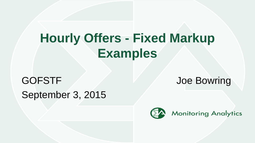# **Hourly Offers - Fixed Markup Examples**

# GOFSTF And Contract the Solution of the Bowring September 3, 2015

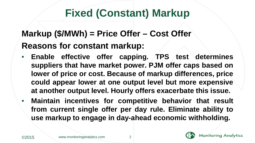# **Fixed (Constant) Markup**

#### **Markup (\$/MWh) = Price Offer – Cost Offer Reasons for constant markup:**

- **Enable effective offer capping. TPS test determines suppliers that have market power. PJM offer caps based on lower of price or cost. Because of markup differences, price could appear lower at one output level but more expensive at another output level. Hourly offers exacerbate this issue.**
- **Maintain incentives for competitive behavior that result from current single offer per day rule. Eliminate ability to use markup to engage in day-ahead economic withholding.**



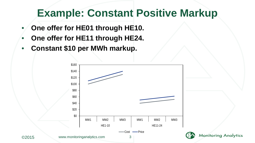## **Example: Constant Positive Markup**

- **One offer for HE01 through HE10.**
- **One offer for HE11 through HE24.**
- **Constant \$10 per MWh markup.**



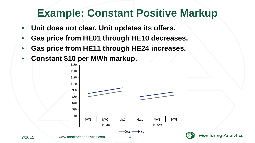# **Example: Constant Positive Markup**

- **Unit does not clear. Unit updates its offers.**
- **Gas price from HE01 through HE10 decreases.**
- **Gas price from HE11 through HE24 increases.**
- **Constant \$10 per MWh markup.**



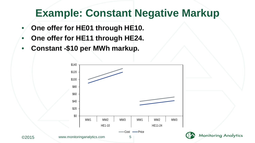#### **Example: Constant Negative Markup**

- **One offer for HE01 through HE10.**
- **One offer for HE11 through HE24.**
- **Constant -\$10 per MWh markup.**



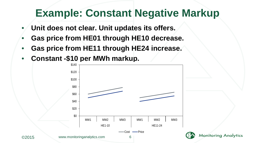## **Example: Constant Negative Markup**

- **Unit does not clear. Unit updates its offers.**
- **Gas price from HE01 through HE10 decrease.**
- **Gas price from HE11 through HE24 increase.**
- **Constant -\$10 per MWh markup.**



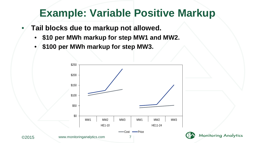# **Example: Variable Positive Markup**

- **Tail blocks due to markup not allowed.**
	- **\$10 per MWh markup for step MW1 and MW2.**
	- **\$100 per MWh markup for step MW3.**



**Monitoring Analytics**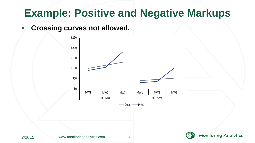## **Example: Positive and Negative Markups**

#### • **Crossing curves not allowed.**





**Monitoring Analytics**